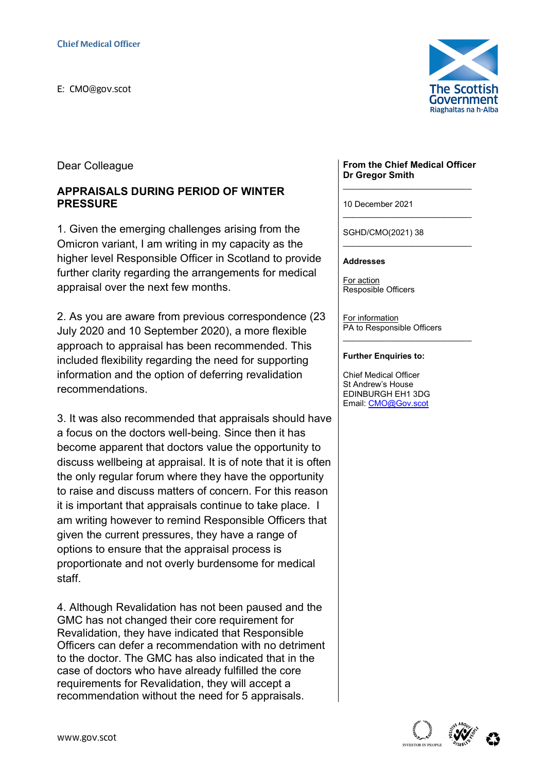

Dear Colleague

## APPRAISALS DURING PERIOD OF WINTER PRESSURE

1. Given the emerging challenges arising from the Omicron variant, I am writing in my capacity as the higher level Responsible Officer in Scotland to provide further clarity regarding the arrangements for medical appraisal over the next few months.

2. As you are aware from previous correspondence (23 July 2020 and 10 September 2020), a more flexible approach to appraisal has been recommended. This included flexibility regarding the need for supporting information and the option of deferring revalidation recommendations.

3. It was also recommended that appraisals should have a focus on the doctors well-being. Since then it has become apparent that doctors value the opportunity to discuss wellbeing at appraisal. It is of note that it is often the only regular forum where they have the opportunity to raise and discuss matters of concern. For this reason it is important that appraisals continue to take place. I am writing however to remind Responsible Officers that given the current pressures, they have a range of options to ensure that the appraisal process is proportionate and not overly burdensome for medical staff.

4. Although Revalidation has not been paused and the GMC has not changed their core requirement for Revalidation, they have indicated that Responsible Officers can defer a recommendation with no detriment to the doctor. The GMC has also indicated that in the case of doctors who have already fulfilled the core requirements for Revalidation, they will accept a recommendation without the need for 5 appraisals.

#### From the Chief Medical Officer Dr Gregor Smith \_\_\_\_\_\_\_\_\_\_\_\_\_\_\_\_\_\_\_\_\_\_\_\_\_\_\_\_

\_\_\_\_\_\_\_\_\_\_\_\_\_\_\_\_\_\_\_\_\_\_\_\_\_\_\_\_

\_\_\_\_\_\_\_\_\_\_\_\_\_\_\_\_\_\_\_\_\_\_\_\_\_\_\_\_

\_\_\_\_\_\_\_\_\_\_\_\_\_\_\_\_\_\_\_\_\_\_\_\_\_\_\_\_

10 December 2021

SGHD/CMO(2021) 38

### **Addresses**

For action Resposible Officers

For information PA to Responsible Officers

### Further Enquiries to:

Chief Medical Officer St Andrew's House EDINBURGH EH1 3DG Email: CMO@Gov.scot